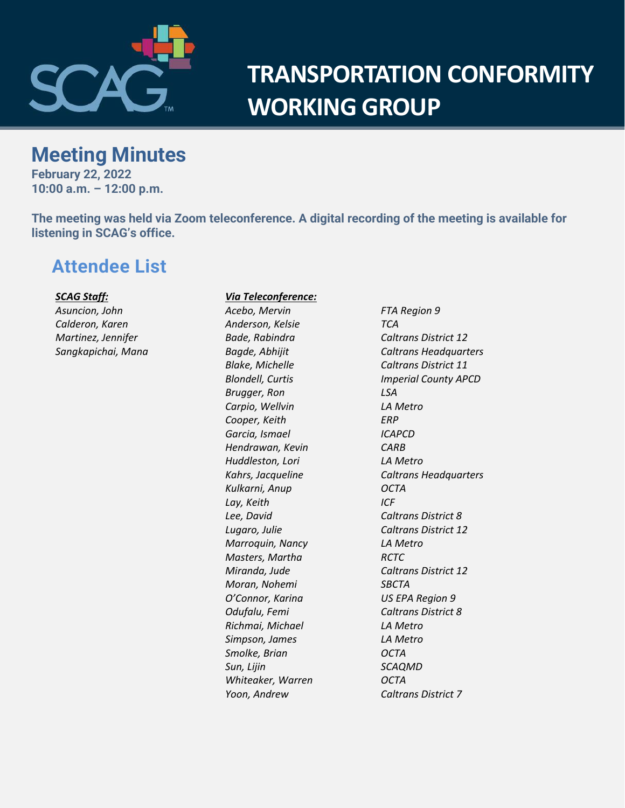

# **TRANSPORTATION CONFORMITY WORKING GROUP**

# **Meeting Minutes**

**February 22, 2022 10:00 a.m. – 12:00 p.m.**

**The meeting was held via Zoom teleconference. A digital recording of the meeting is available for listening in SCAG's office.**

# **Attendee List**

*SCAG Staff: Asuncion, John Calderon, Karen Martinez, Jennifer Sangkapichai, Mana* 

### *Via Teleconference:*

*Anderson, Kelsie TCA Brugger, Ron LSA Carpio, Wellvin LA Metro Cooper, Keith ERP Garcia, Ismael ICAPCD Hendrawan, Kevin CARB Huddleston, Lori LA Metro Kulkarni, Anup OCTA Lay, Keith ICF Lee, David Caltrans District 8 Marroquin, Nancy LA Metro Masters, Martha RCTC Moran, Nohemi SBCTA O'Connor, Karina US EPA Region 9 Odufalu, Femi Caltrans District 8 Richmai, Michael LA Metro Simpson, James LA Metro Smolke, Brian OCTA Sun, Lijin SCAQMD Whiteaker, Warren OCTA Yoon, Andrew Caltrans District 7*

*Acebo, Mervin FTA Region 9 Bade, Rabindra Caltrans District 12 Bagde, Abhijit Caltrans Headquarters Blake, Michelle Caltrans District 11 Blondell, Curtis Imperial County APCD Kahrs, Jacqueline Caltrans Headquarters Lugaro, Julie Caltrans District 12 Miranda, Jude Caltrans District 12*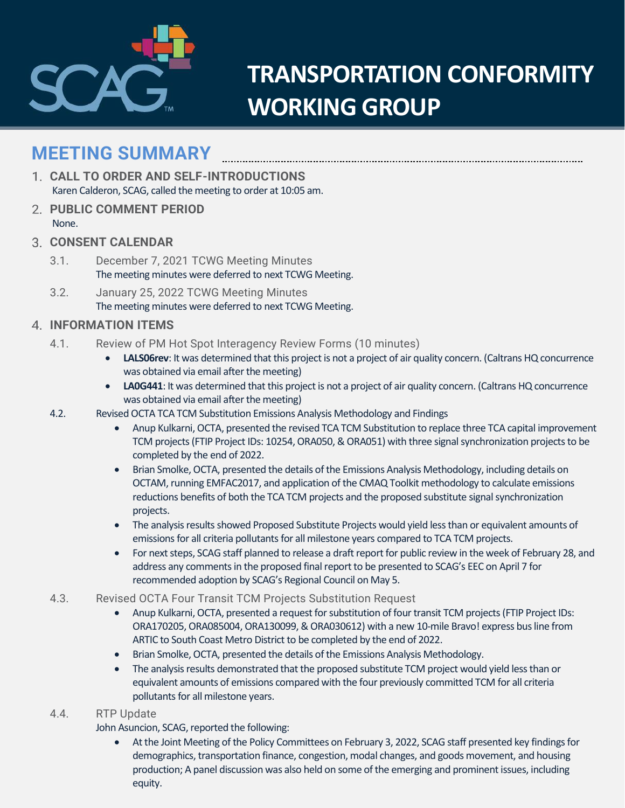

# **TRANSPORTATION CONFORMITY WORKING GROUP**

# **MEETING SUMMARY**

- **CALL TO ORDER AND SELF-INTRODUCTIONS** Karen Calderon, SCAG, called the meeting to order at 10:05 am.
- **PUBLIC COMMENT PERIOD** None.
- **CONSENT CALENDAR**
	- 3.1. December 7, 2021 TCWG Meeting Minutes The meeting minutes were deferred to next TCWG Meeting.
	- 3.2. January 25, 2022 TCWG Meeting Minutes The meeting minutes were deferred to next TCWG Meeting.

### **INFORMATION ITEMS**

- 4.1. Review of PM Hot Spot Interagency Review Forms (10 minutes)
	- **LALS06rev**: It was determined that this project is not a project of air quality concern. (Caltrans HQ concurrence was obtained via email after the meeting)
	- **LA0G441**: It was determined that this project is not a project of air quality concern. (Caltrans HQ concurrence was obtained via email after the meeting)
- 4.2. Revised OCTA TCA TCM Substitution Emissions Analysis Methodology and Findings
	- Anup Kulkarni, OCTA, presented the revised TCA TCM Substitution to replace three TCA capital improvement TCM projects (FTIP Project IDs: 10254, ORA050, & ORA051) with three signal synchronization projects to be completed by the end of 2022.
	- Brian Smolke, OCTA, presented the details of the Emissions Analysis Methodology, including details on OCTAM, running EMFAC2017, and application of the CMAQ Toolkit methodology to calculate emissions reductions benefits of both the TCA TCM projects and the proposed substitute signal synchronization projects.
	- The analysis results showed Proposed Substitute Projects would yield less than or equivalent amounts of emissions for all criteria pollutants for all milestone years compared to TCA TCM projects.
	- For next steps, SCAG staff planned to release a draft report for public review in the week of February 28, and address any comments in the proposed final report to be presented to SCAG's EEC on April 7 for recommended adoption by SCAG's Regional Council on May 5.
- 4.3. Revised OCTA Four Transit TCM Projects Substitution Request
	- Anup Kulkarni, OCTA, presented a request for substitution of four transit TCM projects (FTIP Project IDs: ORA170205, ORA085004, ORA130099, & ORA030612) with a new 10-mile Bravo! express bus line from ARTIC to South Coast Metro District to be completed by the end of 2022.
	- Brian Smolke, OCTA, presented the details of the Emissions Analysis Methodology.
	- The analysis results demonstrated that the proposed substitute TCM project would yield less than or equivalent amounts of emissions compared with the four previously committed TCM for all criteria pollutants for all milestone years.

#### 4.4. RTP Update

John Asuncion, SCAG, reported the following:

At the Joint Meeting of the Policy Committees on February 3, 2022, SCAG staff presented key findings for demographics, transportation finance, congestion, modal changes, and goods movement, and housing production; A panel discussion was also held on some of the emerging and prominent issues, including equity.